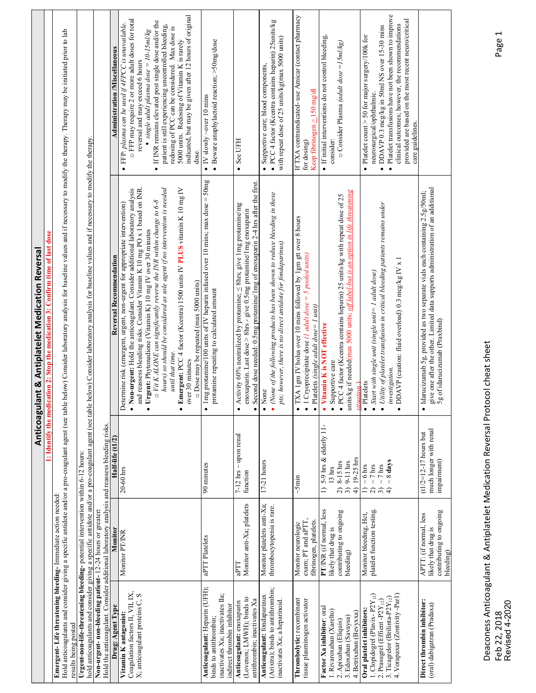| values and if necessary to modify the therapy. Therapy may be initiated prior to lab<br>values and if necessary to modify the therapy<br>$\bullet$<br>if no intervention is needed<br>PLUS vitamin K 10 mg IV<br>and reassess bleeding risks. Consider Vitamin K 10 mg PO x 1 based on INR<br>. Non-urgent: Hold the anticoagulant. Consider additional laboratory analysis<br>$\circ$ Vit K ALONE can significantly reverse the INR within change to 6-8<br>propriate intervention)<br>30 minutes<br>등<br>• Urgent: Phytonadione (Vitamin K) 10 mg IV over<br>E <mark>mergent- Life threatening bleeding-</mark> Immediate action needed:<br>Hold anticoagulants and consider giving a specific antidote and/or a pro-coagulant agent (see table below) Consider laboratory analysis for baseline<br>Reversal Recommendati<br>Determine risk (emergent, urgent, non-urgent for ap<br>- Emergent: PCC 4 factor (Kcentra) 1500 units IV<br>hours) so should be considered as sole agent<br>until that time.<br>o Dose may be repeated (max 5000 units)<br>lentify the medication 2: Stop the medication 3:<br>over 30 minutes<br>Half-life (tl/2)<br>$20-60$ hrs<br>Monitor<br>Monitor PT/INR<br>Drug: Agent Type<br>being posted<br>results |                                                                                                                                                                                                                                                                                                                                                                                                                                                                                             |
|---------------------------------------------------------------------------------------------------------------------------------------------------------------------------------------------------------------------------------------------------------------------------------------------------------------------------------------------------------------------------------------------------------------------------------------------------------------------------------------------------------------------------------------------------------------------------------------------------------------------------------------------------------------------------------------------------------------------------------------------------------------------------------------------------------------------------------------------------------------------------------------------------------------------------------------------------------------------------------------------------------------------------------------------------------------------------------------------------------------------------------------------------------------------------------------------------------------------------------------------|---------------------------------------------------------------------------------------------------------------------------------------------------------------------------------------------------------------------------------------------------------------------------------------------------------------------------------------------------------------------------------------------------------------------------------------------------------------------------------------------|
| Urgent-non-life-threatening bleeding- potential intervention within 6-12 hours:<br>hold anticoagulants and consider giving a specific antidote and/or a pro-coagulant agent (see table below) Consider laboratory analysis for ba<br>Hold the anticoagulant. Consider additional laboratory analysis and reassess bleeding risks<br>Non-urgent- non-bleeding patient- 12-24 hours or greater:<br>Coagulation factors II, VII, IX, $X$ , anticoagulant proteins $C$ , S<br>Vitamin K antagonist:                                                                                                                                                                                                                                                                                                                                                                                                                                                                                                                                                                                                                                                                                                                                             |                                                                                                                                                                                                                                                                                                                                                                                                                                                                                             |
|                                                                                                                                                                                                                                                                                                                                                                                                                                                                                                                                                                                                                                                                                                                                                                                                                                                                                                                                                                                                                                                                                                                                                                                                                                             |                                                                                                                                                                                                                                                                                                                                                                                                                                                                                             |
|                                                                                                                                                                                                                                                                                                                                                                                                                                                                                                                                                                                                                                                                                                                                                                                                                                                                                                                                                                                                                                                                                                                                                                                                                                             |                                                                                                                                                                                                                                                                                                                                                                                                                                                                                             |
|                                                                                                                                                                                                                                                                                                                                                                                                                                                                                                                                                                                                                                                                                                                                                                                                                                                                                                                                                                                                                                                                                                                                                                                                                                             | <b>Administration /Miscellaneous</b>                                                                                                                                                                                                                                                                                                                                                                                                                                                        |
|                                                                                                                                                                                                                                                                                                                                                                                                                                                                                                                                                                                                                                                                                                                                                                                                                                                                                                                                                                                                                                                                                                                                                                                                                                             | indicated, but may be given after 12 hours of original<br>o FFP may require 2 or more adult doses for total<br>If INR remains elevated post single dose and/or the patient is still experiencing uncontrolled bleeding, redosing of PCC can be considered. Max dose is<br>• FFP: plasma can be used if $4FPCC$ is unavailable.<br>10-15ml/kg<br>5000 units. Redosing of Vitamin K is rarely<br>reversal and may exceed 6 hours<br>$\blacksquare$ single adult plasma dose $\lightharpoonup$ |
| • Img protamine/100 units of IV heparin infused over 10 mins; max $dose = 50mg$<br>protamine repeating to calculated amount<br>90 minutes<br>aPTT Platelets<br>Anticoagulant: Heparin (UFH);<br>inactivates Xa; inactivates IIa;<br>binds to antithrombin;                                                                                                                                                                                                                                                                                                                                                                                                                                                                                                                                                                                                                                                                                                                                                                                                                                                                                                                                                                                  | $\bullet$ Beware anaphylactoid reaction; $>$ 50mg/dose<br>$\bullet$ IV slowly ~over 10 mins                                                                                                                                                                                                                                                                                                                                                                                                 |
| See UFH<br>$\bullet$<br>Second dose needed: 0.5mg protamine/1mg of enoxaparin 2-4 hrs after the first<br>ve 1mg protamine/mg<br>• Activity 60% neutralized by protamine; $\leq$ 8hrs; give 1mg protamine/m enoxaparin. Last dose $>$ 8hrs - give 0.5mg protamine/m enoxaparin<br>$\sim$ upon renal<br>$7-12$ hrs<br>$\operatorname{function}$<br>Monitor anti-Xa; platelets<br>aPTT<br>indirect thrombin inhibitor<br><b>Anticoagulant:</b> enoxaparin<br>(Lovenox; LMWH); binds to<br>antithrombin; inactivates Xa                                                                                                                                                                                                                                                                                                                                                                                                                                                                                                                                                                                                                                                                                                                         |                                                                                                                                                                                                                                                                                                                                                                                                                                                                                             |
| reduce bleeding in these<br>• (None of the following products has been shown to reduce<br>pts; however, there is no direct antidote for fondaparinux)<br>None<br>$17-21$ hours<br>Monitor platelets anti-Xa;<br>thrombocytopenia is rare.<br>(Arixtra); binds to antithrombin;<br>Anticoagulant: fondaparinux<br>inactivates Xa; a heparinoid.                                                                                                                                                                                                                                                                                                                                                                                                                                                                                                                                                                                                                                                                                                                                                                                                                                                                                              | $\bullet$ Supportive care; blood components,<br>$\bullet$ PCC 4 factor (Keentra contains heparin) 25<br>units/kg<br>with repeat dose of 25 units/kg(max 5000 units)                                                                                                                                                                                                                                                                                                                         |
| for dosing)<br>• TXA 1gm IV bolus over 10 mins followed by 1gm gtt over 8 hours<br>iis)<br>• 1 Cryoprecipitate dose (1 adult dose = 5 pooled un<br>• Platelets (single adult $dose = 1$ unit)<br>$\sim$ 5min<br>exam; PT and aPTT,<br>fibrinogen, platelets.<br>Monitor neurologic<br>Thrombolytic: recombinant<br>tissue plasminogen activator                                                                                                                                                                                                                                                                                                                                                                                                                                                                                                                                                                                                                                                                                                                                                                                                                                                                                             | If TXA contraindicated- use Amicar (contact pharmacy<br>Keep fibrinogen ≥150 mg/dl                                                                                                                                                                                                                                                                                                                                                                                                          |
| consider:<br>life threatening<br>· PCC 4 factor (Kcentra contains heparin) 25 units/kg with repeat dose of 25<br>ni nona<br>units/kg if needed(max 5000 units; of label-but is an<br>• Vitamin K is NOT effective<br>· Supportive care<br>1) $5-9$ hrs & elderly 11-<br>$19-25$ hrs<br>$8-15$ hrs<br>9-11 hrs<br>$13~\mathrm{hrs}$<br>$\widehat{2}$<br>ډ<br>PT/INR (if normal, less<br>contributing to ongoing<br>likely that drug is<br>bleeding)<br>Xa inhibitor: oral<br>1. Rivaroxaban (Xarelto)<br>4. Betrixaban (Bevyxxa)<br>$2.\,\mathrm{Apixaban}\;(\mathrm{Eliquis})\\3.\,\mathrm{Edoxaban}\;(\mathrm{Savaysa})$<br>Factor                                                                                                                                                                                                                                                                                                                                                                                                                                                                                                                                                                                                         | · If initial interventions do not control bleeding,<br>o Consider Plasma (adult dose = 15ml/kg)                                                                                                                                                                                                                                                                                                                                                                                             |
| care guidelines<br>$\bullet$<br>$\bullet$<br>$\bullet$ Utility of platelet transfusion in critical bleeding patients remains under<br>$\overline{ }$<br>$\bullet$ DDAVP (caution: fluid overload) 0.3 mcg/kg IV x<br>$\bullet$ Start with single unit (single unit= 1 adult dose)<br>investigation.<br>$\overline{\mathbf{P}}$ Platelets<br>$\sim 8$ days<br>$\sim 6$ hrs<br>hrs<br>hrs<br>$\equiv$ ลลิ<br>platelet function testing.<br>Monitor bleeding, Hct,<br><b>Oral platelet inhibitors:</b><br>1. Clopidogrel (Plavix- P2Y <sub>12</sub> )<br>2. Prasugrel (Efficat - P2Y <sub>12</sub> )<br>3. Ticagrelor (Brilinta-P2Y <sub>12</sub> )<br>4. Vorapaxar (Zontivity - Par1)                                                                                                                                                                                                                                                                                                                                                                                                                                                                                                                                                         | Platelet transfusions have not been shown to improve<br>provided are based on the most recent neuro/critical<br>clinical outcomes; however, the recommendations<br>DDAVP 0.3 mcg/kg in 50ml NS over 15-30 mins<br>• Platelet count $>$ 50 for major surgery/100k for<br>neurosurgical/ophthalmic.                                                                                                                                                                                           |
| give one after the other. Limited data supports administration of an additional<br>$\bullet$ Idarucizumab 5g, provided as two separate vials each containing 2.5g/50ml;<br>5g of idarucizumab (Praxbind)<br>much longer with renal<br>$(t1/2=12-17$ hours but<br>impairment)<br>contributing to ongoing<br>APTT: (if normal, less<br>likely that drug is<br>bleeding)<br>thrombin inhibitor:<br>(oral) dabigatran (Pradaxa)<br>Direct                                                                                                                                                                                                                                                                                                                                                                                                                                                                                                                                                                                                                                                                                                                                                                                                       |                                                                                                                                                                                                                                                                                                                                                                                                                                                                                             |